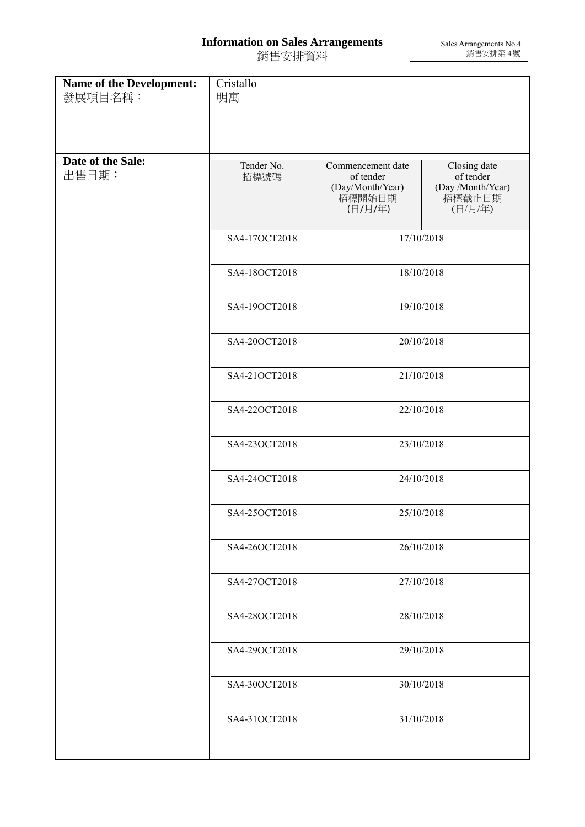## **Information on Sales Arrangements** 銷售安排資料

Sales Arrangements No.4 銷售安排第 4 號

| Name of the Development:   | Cristallo          |                                |                           |
|----------------------------|--------------------|--------------------------------|---------------------------|
| 發展項目名稱:                    | 明寓                 |                                |                           |
|                            |                    |                                |                           |
|                            |                    |                                |                           |
|                            |                    |                                |                           |
| Date of the Sale:<br>出售日期: | Tender No.<br>招標號碼 | Commencement date<br>of tender | Closing date<br>of tender |
|                            |                    | (Day/Month/Year)               | (Day /Month/Year)         |
|                            |                    | 招標開始日期<br>(日/月/年)              | 招標截止日期                    |
|                            |                    |                                | (日/月/年)                   |
|                            | SA4-17OCT2018      |                                | 17/10/2018                |
|                            |                    |                                |                           |
|                            | SA4-18OCT2018      | 18/10/2018                     |                           |
|                            |                    |                                |                           |
|                            | SA4-19OCT2018      |                                | 19/10/2018                |
|                            |                    |                                |                           |
|                            | SA4-20OCT2018      | 20/10/2018                     |                           |
|                            |                    |                                |                           |
|                            | SA4-21OCT2018      | 21/10/2018                     |                           |
|                            |                    |                                |                           |
|                            | SA4-22OCT2018      | 22/10/2018                     |                           |
|                            |                    |                                |                           |
|                            | SA4-23OCT2018      | 23/10/2018                     |                           |
|                            |                    |                                |                           |
|                            | SA4-24OCT2018      | 24/10/2018                     |                           |
|                            |                    |                                |                           |
|                            | SA4-25OCT2018      | 25/10/2018                     |                           |
|                            |                    |                                |                           |
|                            | SA4-26OCT2018      |                                | 26/10/2018                |
|                            |                    |                                |                           |
|                            | SA4-27OCT2018      | 27/10/2018                     |                           |
|                            |                    |                                |                           |
|                            | SA4-28OCT2018      | 28/10/2018                     |                           |
|                            |                    |                                |                           |
|                            | SA4-29OCT2018      | 29/10/2018                     |                           |
|                            |                    |                                |                           |
|                            | SA4-30OCT2018      |                                | 30/10/2018                |
|                            |                    |                                |                           |
|                            |                    |                                |                           |
|                            | SA4-31OCT2018      | 31/10/2018                     |                           |
|                            |                    |                                |                           |
|                            |                    |                                |                           |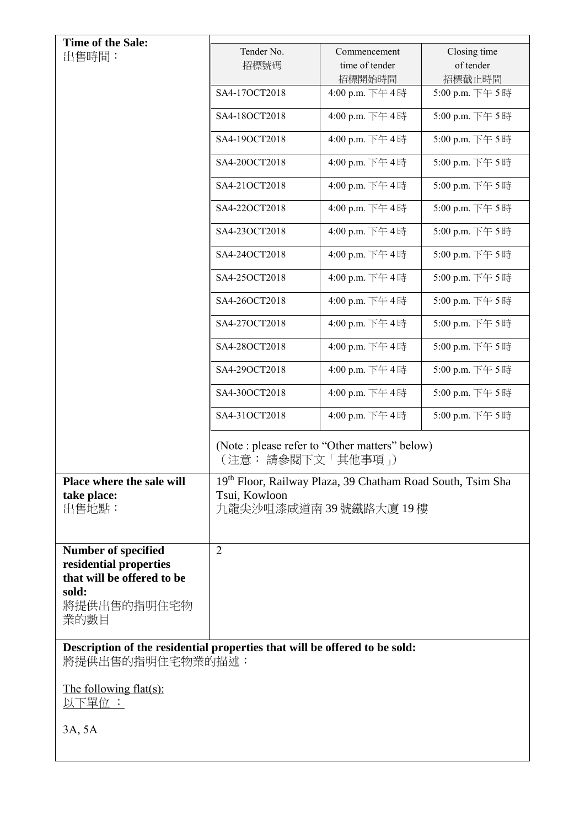| Time of the Sale:                                                                              |                                                                    |                                          |                                     |
|------------------------------------------------------------------------------------------------|--------------------------------------------------------------------|------------------------------------------|-------------------------------------|
| 出售時間:                                                                                          | Tender No.<br>招標號碼                                                 | Commencement<br>time of tender<br>招標開始時間 | Closing time<br>of tender<br>招標截止時間 |
|                                                                                                | SA4-17OCT2018                                                      | 4:00 p.m. 下午4時                           | 5:00 p.m. 下午5時                      |
|                                                                                                | SA4-18OCT2018                                                      | 4:00 p.m. 下午4時                           | 5:00 p.m. 下午5時                      |
|                                                                                                | SA4-19OCT2018                                                      | 4:00 p.m. 下午4時                           | 5:00 p.m. 下午5時                      |
|                                                                                                | SA4-20OCT2018                                                      | 4:00 p.m. 下午4時                           | 5:00 p.m. 下午5時                      |
|                                                                                                | SA4-21OCT2018                                                      | 4:00 p.m. 下午4時                           | 5:00 p.m. 下午5時                      |
|                                                                                                | SA4-22OCT2018                                                      | 4:00 p.m. 下午4時                           | 5:00 p.m. 下午5時                      |
|                                                                                                | SA4-23OCT2018                                                      | 4:00 p.m. 下午4時                           | 5:00 p.m. 下午5時                      |
|                                                                                                | SA4-24OCT2018                                                      | 4:00 p.m. 下午4時                           | 5:00 p.m. 下午5時                      |
|                                                                                                | SA4-25OCT2018                                                      | 4:00 p.m. 下午4時                           | 5:00 p.m. 下午5時                      |
|                                                                                                | SA4-26OCT2018                                                      | 4:00 p.m. 下午4時                           | 5:00 p.m. 下午5時                      |
|                                                                                                | SA4-27OCT2018                                                      | 4:00 p.m. 下午4時                           | 5:00 p.m. 下午5時                      |
|                                                                                                | SA4-28OCT2018                                                      | 4:00 p.m. 下午4時                           | 5:00 p.m. 下午5時                      |
|                                                                                                | SA4-29OCT2018                                                      | 4:00 p.m. 下午4時                           | 5:00 p.m. 下午5時                      |
|                                                                                                | SA4-30OCT2018                                                      | 4:00 p.m. 下午4時                           | 5:00 p.m. 下午5時                      |
|                                                                                                | SA4-31OCT2018                                                      | 4:00 p.m. 下午4時                           | 5:00 p.m. 下午5時                      |
|                                                                                                | (Note : please refer to "Other matters" below)<br>(注意:請參閱下文「其他事項」) |                                          |                                     |
| Place where the sale will                                                                      | 19th Floor, Railway Plaza, 39 Chatham Road South, Tsim Sha         |                                          |                                     |
| take place:<br>出售地點:                                                                           | Tsui, Kowloon<br>九龍尖沙咀漆咸道南39號鐵路大廈19樓                               |                                          |                                     |
| <b>Number of specified</b>                                                                     | $\overline{2}$                                                     |                                          |                                     |
| residential properties<br>that will be offered to be                                           |                                                                    |                                          |                                     |
| sold:<br>將提供出售的指明住宅物<br>業的數目                                                                   |                                                                    |                                          |                                     |
| Description of the residential properties that will be offered to be sold:<br>將提供出售的指明住宅物業的描述: |                                                                    |                                          |                                     |
| The following flat(s):<br>以下單位 :                                                               |                                                                    |                                          |                                     |
| 3A, 5A                                                                                         |                                                                    |                                          |                                     |
|                                                                                                |                                                                    |                                          |                                     |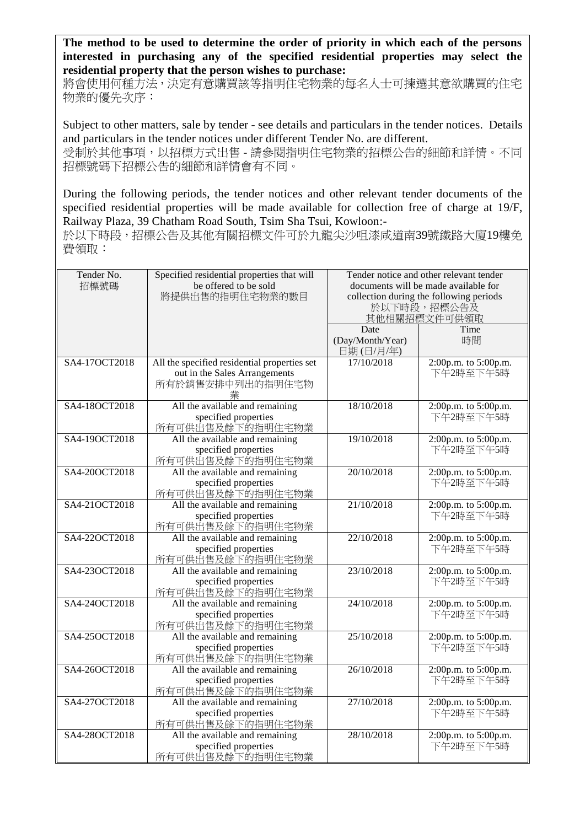**The method to be used to determine the order of priority in which each of the persons interested in purchasing any of the specified residential properties may select the residential property that the person wishes to purchase:** 

將會使用何種方法,決定有意購買該等指明住宅物業的每名人士可揀選其意欲購買的住宅 物業的優先次序:

Subject to other matters, sale by tender - see details and particulars in the tender notices. Details and particulars in the tender notices under different Tender No. are different.

受制於其他事項,以招標方式出售 - 請參閱指明住宅物業的招標公告的細節和詳情。不同 招標號碼下招標公告的細節和詳情會有不同。

During the following periods, the tender notices and other relevant tender documents of the specified residential properties will be made available for collection free of charge at 19/F, Railway Plaza, 39 Chatham Road South, Tsim Sha Tsui, Kowloon:-

於以下時段,招標公告及其他有關招標文件可於九龍尖沙咀漆咸道南39號鐵路大廈19樓免 費領取:

| Tender No.<br>招標號碼 | Specified residential properties that will<br>be offered to be sold<br>將提供出售的指明住宅物業的數目            | Date                          | Tender notice and other relevant tender<br>documents will be made available for<br>collection during the following periods<br>於以下時段,招標公告及<br>其他相關招標文件可供領取<br>Time |
|--------------------|---------------------------------------------------------------------------------------------------|-------------------------------|-------------------------------------------------------------------------------------------------------------------------------------------------------------------|
|                    |                                                                                                   | (Day/Month/Year)<br>日期(日/月/年) | 時間                                                                                                                                                                |
| SA4-17OCT2018      | All the specified residential properties set<br>out in the Sales Arrangements<br>所有於銷售安排中列出的指明住宅物 | 17/10/2018                    | 2:00p.m. to 5:00p.m.<br>下午2時至下午5時                                                                                                                                 |
| SA4-18OCT2018      | All the available and remaining<br>specified properties<br>所有可供出售及餘下的指明住宅物業                       | 18/10/2018                    | 2:00p.m. to 5:00p.m.<br>下午2時至下午5時                                                                                                                                 |
| SA4-19OCT2018      | All the available and remaining<br>specified properties<br>所有可供出售及餘下的指明住宅物業                       | 19/10/2018                    | 2:00p.m. to 5:00p.m.<br>下午2時至下午5時                                                                                                                                 |
| SA4-20OCT2018      | All the available and remaining<br>specified properties<br>所有可供出售及餘下的指明住宅物業                       | 20/10/2018                    | 2:00p.m. to 5:00p.m.<br>下午2時至下午5時                                                                                                                                 |
| SA4-21OCT2018      | All the available and remaining<br>specified properties<br>所有可供出售及餘下的指明住宅物業                       | $2\overline{1/10/2018}$       | $2:00p.m.$ to $5:00p.m.$<br>下午2時至下午5時                                                                                                                             |
| SA4-22OCT2018      | All the available and remaining<br>specified properties<br>所有可供出售及餘下的指明住宅物業                       | 22/10/2018                    | 2:00p.m. to 5:00p.m.<br>下午2時至下午5時                                                                                                                                 |
| SA4-23OCT2018      | All the available and remaining<br>specified properties<br>所有可供出售及餘下的指明住宅物業                       | 23/10/2018                    | 2:00p.m. to 5:00p.m.<br>下午2時至下午5時                                                                                                                                 |
| SA4-24OCT2018      | All the available and remaining<br>specified properties<br>所有可供出售及餘下的指明住宅物業                       | 24/10/2018                    | 2:00p.m. to 5:00p.m.<br>下午2時至下午5時                                                                                                                                 |
| SA4-25OCT2018      | All the available and remaining<br>specified properties<br>所有可供出售及餘下的指明住宅物業                       | 25/10/2018                    | 2:00p.m. to 5:00p.m.<br>下午2時至下午5時                                                                                                                                 |
| SA4-26OCT2018      | All the available and remaining<br>specified properties<br>所有可供出售及餘下的指明住宅物業                       | 26/10/2018                    | 2:00p.m. to 5:00p.m.<br>下午2時至下午5時                                                                                                                                 |
| SA4-27OCT2018      | All the available and remaining<br>specified properties<br>所有可供出售及餘下的指明住宅物業                       | 27/10/2018                    | 2:00p.m. to 5:00p.m.<br>下午2時至下午5時                                                                                                                                 |
| SA4-28OCT2018      | All the available and remaining<br>specified properties<br>所有可供出售及餘下的指明住宅物業                       | 28/10/2018                    | 2:00p.m. to 5:00p.m.<br>下午2時至下午5時                                                                                                                                 |